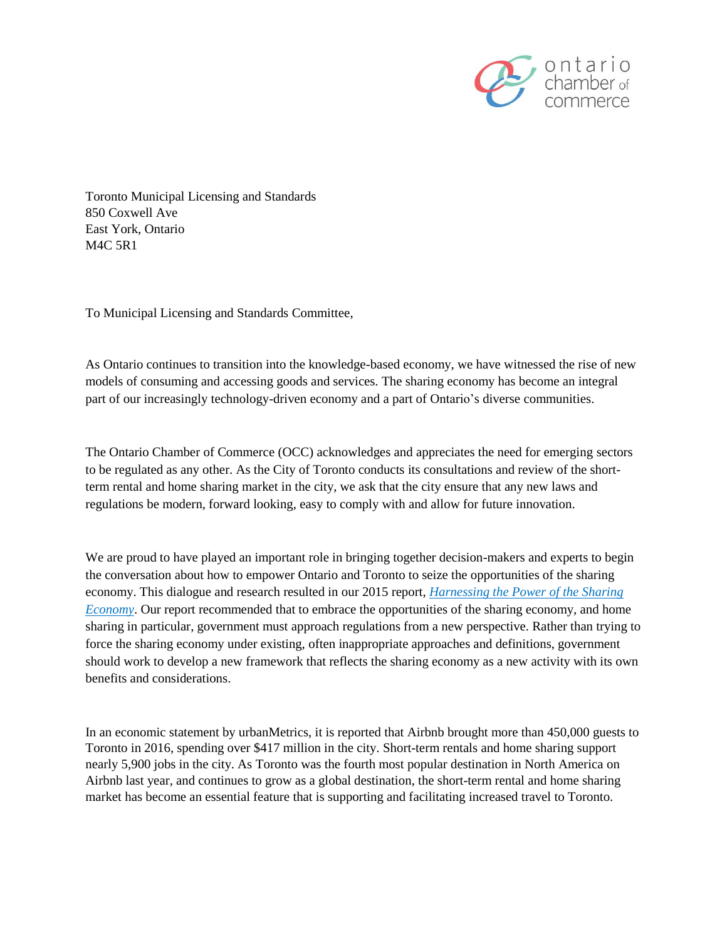

Toronto Municipal Licensing and Standards 850 Coxwell Ave East York, Ontario M4C 5R1

To Municipal Licensing and Standards Committee,

As Ontario continues to transition into the knowledge-based economy, we have witnessed the rise of new models of consuming and accessing goods and services. The sharing economy has become an integral part of our increasingly technology-driven economy and a part of Ontario's diverse communities.

The Ontario Chamber of Commerce (OCC) acknowledges and appreciates the need for emerging sectors to be regulated as any other. As the City of Toronto conducts its consultations and review of the shortterm rental and home sharing market in the city, we ask that the city ensure that any new laws and regulations be modern, forward looking, easy to comply with and allow for future innovation.

We are proud to have played an important role in bringing together decision-makers and experts to begin the conversation about how to empower Ontario and Toronto to seize the opportunities of the sharing economy. This dialogue and research resulted in our 2015 report, *[Harnessing the Power of the Sharing](http://www.occ.ca/wp-content/uploads/2013/05/Harnessing-the-Power-of-the-Sharing-Economy.pdf)  [Economy](http://www.occ.ca/wp-content/uploads/2013/05/Harnessing-the-Power-of-the-Sharing-Economy.pdf)*. Our report recommended that to embrace the opportunities of the sharing economy, and home sharing in particular, government must approach regulations from a new perspective. Rather than trying to force the sharing economy under existing, often inappropriate approaches and definitions, government should work to develop a new framework that reflects the sharing economy as a new activity with its own benefits and considerations.

In an economic statement by urbanMetrics, it is reported that Airbnb brought more than 450,000 guests to Toronto in 2016, spending over \$417 million in the city. Short-term rentals and home sharing support nearly 5,900 jobs in the city. As Toronto was the fourth most popular destination in North America on Airbnb last year, and continues to grow as a global destination, the short-term rental and home sharing market has become an essential feature that is supporting and facilitating increased travel to Toronto.